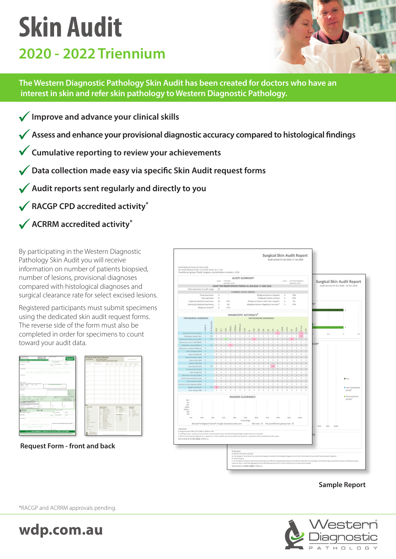## **Skin Audit 2020 - 2022 Triennium**



**The Western Diagnostic Pathology Skin Audit has been created for doctors who have an interest in skin and refer skin pathology to Western Diagnostic Pathology.**

- **Improve and advance your clinical skills**
- **Assess and enhance your provisional diagnostic accuracy compared to histological findings**
- **Cumulative reporting to review your achievements**
- **Data collection made easy via specific Skin Audit request forms**
- **Audit reports sent regularly and directly to you**
- **RACGP CPD accredited activity\***
- **ACRRM accredited activity\***

By participating in the Western Diagnostic Pathology Skin Audit you will receive information on number of patients biopsied, number of lesions, provisional diagnoses compared with histological diagnoses and surgical clearance rate for select excised lesions.

Registered participants must submit specimens using the dedicated skin audit request forms. The reverse side of the form must also be completed in order for specimens to count toward your audit data.



**Request Form - front and back**



## **Sample Report**



\*RACGP and ACRRM approvals pending.

wdp.com.au